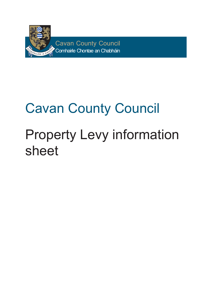

# Cavan County Council Property Levy information sheet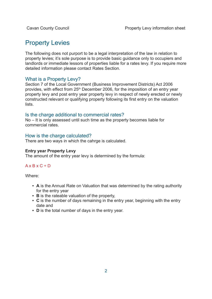# Property Levies

The following does not purport to be a legal interpretation of the law in relation to property levies; it's sole purpose is to provide basic guidance only to occupiers and landlords or immediate lessors of properties liable for a rates levy. If you require more detailed information please contact Rates Section.

# What is a Property Levy?

Section 7 of the Local Government (Business Improvement Districts) Act 2006 provides, with effect from  $25<sup>th</sup>$  December 2006, for the imposition of an entry year property levy and post entry year property levy in respect of newly erected or newly constructed relevant or qualifying property following its first entry on the valuation lists.

#### Is the charge additional to commercial rates?

No – It is only assessed until such time as the property becomes liable for commercial rates.

# How is the charge calculated?

There are two ways in which the cahrge is calculated.

#### **Entry year Property Levy**

The amount of the entry year levy is determined by the formula:

# $A \times B \times C \div D$

Where:

- A is the Annual Rate on Valuation that was determined by the rating authority for the entry year
- **• B** is the rateable valuation of the property,
- C is the number of days remaining in the entry year, beginning with the entry date and
- **D** is the total number of days in the entry year.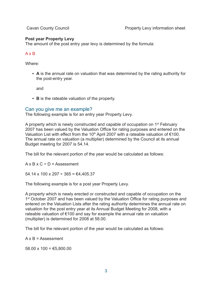#### **Post year Property Levy**

The amount of the post entry year levy is determined by the formula:

#### A x B

Where:

**• A** is the annual rate on valuation that was determined by the rating authority for the post-entry year.

and

**• B** is the rateable valuation of the property.

#### Can you give me an example?

The following example is for an entry year Property Levy.

A property which is newly constructed and capable of occupation on 1st February 2007 has been valued by the Valuation Office for rating purposes and entered on the Valuation List with effect from the 10<sup>th</sup> April 2007 with a rateable valuation of €100. The annual rate on valuation (a multiplier) determined by the Council at its annual Budget meeting for 2007 is 54.14.

The bill for the relevant portion of the year would be calculated as follows:

 $A \times B \times C \div D =$  Assessment

54.14 x 100 x 297 ÷ 365 = €4.405.37

The following example is for a post year Property Levy.

A property which is newly erected or constructed and capable of occupation on the 1<sup>st</sup> October 2007 and has been valued by the Valuation Office for rating purposes and entered on the Valuation Lists after the rating authority determines the annual rate on valuation for the post entry year at its Annual Budget Meeting for 2008, with a rateable valuation of €100 and say for example the annual rate on valuation (multiplier) is determined for 2008 at 58.00.

The bill for the relevant portion of the year would be calculated as follows:

 $A \times B$  = Assessment

 $58.00 \times 100 = \text{\textsterling}5.800.00$